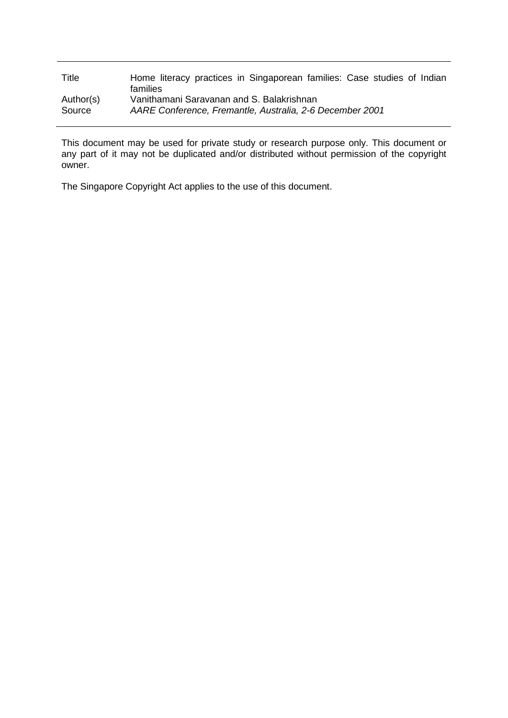| Title     | Home literacy practices in Singaporean families: Case studies of Indian<br>families |
|-----------|-------------------------------------------------------------------------------------|
| Author(s) | Vanithamani Saravanan and S. Balakrishnan                                           |
| Source    | AARE Conference, Fremantle, Australia, 2-6 December 2001                            |

This document may be used for private study or research purpose only. This document or any part of it may not be duplicated and/or distributed without permission of the copyright owner.

The Singapore Copyright Act applies to the use of this document.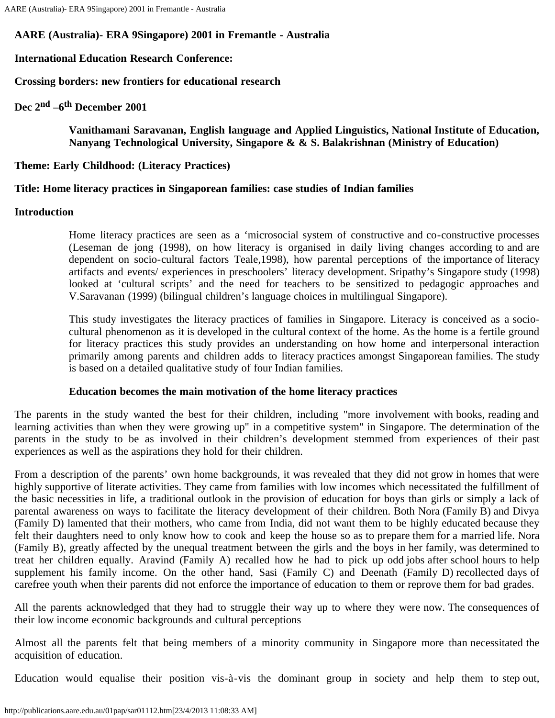# **AARE (Australia)- ERA 9Singapore) 2001 in Fremantle - Australia**

## **International Education Research Conference:**

**Crossing borders: new frontiers for educational research**

**Dec 2nd –6th December 2001**

**Vanithamani Saravanan, English language and Applied Linguistics, National Institute of Education, Nanyang Technological University, Singapore & & S. Balakrishnan (Ministry of Education)**

**Theme: Early Childhood: (Literacy Practices)**

## **Title: Home literacy practices in Singaporean families: case studies of Indian families**

## **Introduction**

Home literacy practices are seen as a 'microsocial system of constructive and co-constructive processes (Leseman de jong (1998), on how literacy is organised in daily living changes according to and are dependent on socio-cultural factors Teale,1998), how parental perceptions of the importance of literacy artifacts and events/ experiences in preschoolers' literacy development. Sripathy's Singapore study (1998) looked at 'cultural scripts' and the need for teachers to be sensitized to pedagogic approaches and V.Saravanan (1999) (bilingual children's language choices in multilingual Singapore).

This study investigates the literacy practices of families in Singapore. Literacy is conceived as a sociocultural phenomenon as it is developed in the cultural context of the home. As the home is a fertile ground for literacy practices this study provides an understanding on how home and interpersonal interaction primarily among parents and children adds to literacy practices amongst Singaporean families. The study is based on a detailed qualitative study of four Indian families.

## **Education becomes the main motivation of the home literacy practices**

The parents in the study wanted the best for their children, including "more involvement with books, reading and learning activities than when they were growing up" in a competitive system" in Singapore. The determination of the parents in the study to be as involved in their children's development stemmed from experiences of their past experiences as well as the aspirations they hold for their children.

From a description of the parents' own home backgrounds, it was revealed that they did not grow in homes that were highly supportive of literate activities. They came from families with low incomes which necessitated the fulfillment of the basic necessities in life, a traditional outlook in the provision of education for boys than girls or simply a lack of parental awareness on ways to facilitate the literacy development of their children. Both Nora (Family B) and Divya (Family D) lamented that their mothers, who came from India, did not want them to be highly educated because they felt their daughters need to only know how to cook and keep the house so as to prepare them for a married life. Nora (Family B), greatly affected by the unequal treatment between the girls and the boys in her family, was determined to treat her children equally. Aravind (Family A) recalled how he had to pick up odd jobs after school hours to help supplement his family income. On the other hand, Sasi (Family C) and Deenath (Family D) recollected days of carefree youth when their parents did not enforce the importance of education to them or reprove them for bad grades.

All the parents acknowledged that they had to struggle their way up to where they were now. The consequences of their low income economic backgrounds and cultural perceptions

Almost all the parents felt that being members of a minority community in Singapore more than necessitated the acquisition of education.

Education would equalise their position vis-à-vis the dominant group in society and help them to step out,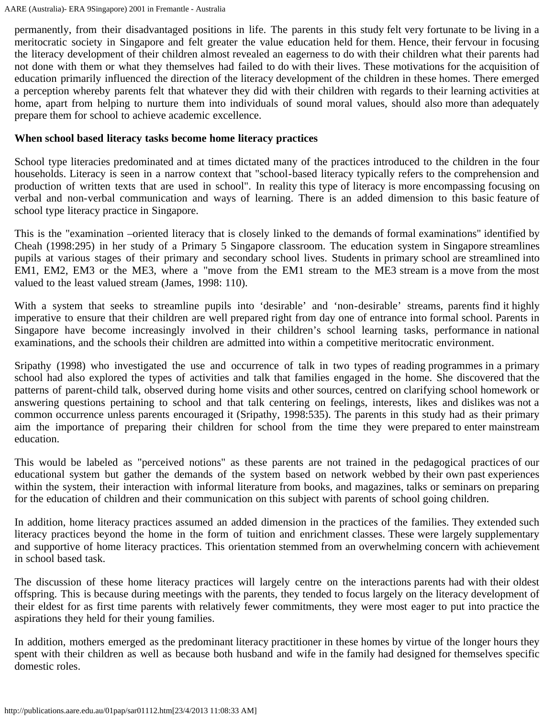AARE (Australia)- ERA 9Singapore) 2001 in Fremantle - Australia

permanently, from their disadvantaged positions in life. The parents in this study felt very fortunate to be living in a meritocratic society in Singapore and felt greater the value education held for them. Hence, their fervour in focusing the literacy development of their children almost revealed an eagerness to do with their children what their parents had not done with them or what they themselves had failed to do with their lives. These motivations for the acquisition of education primarily influenced the direction of the literacy development of the children in these homes. There emerged a perception whereby parents felt that whatever they did with their children with regards to their learning activities at home, apart from helping to nurture them into individuals of sound moral values, should also more than adequately prepare them for school to achieve academic excellence.

### **When school based literacy tasks become home literacy practices**

School type literacies predominated and at times dictated many of the practices introduced to the children in the four households. Literacy is seen in a narrow context that "school-based literacy typically refers to the comprehension and production of written texts that are used in school". In reality this type of literacy is more encompassing focusing on verbal and non-verbal communication and ways of learning. There is an added dimension to this basic feature of school type literacy practice in Singapore.

This is the "examination –oriented literacy that is closely linked to the demands of formal examinations" identified by Cheah (1998:295) in her study of a Primary 5 Singapore classroom. The education system in Singapore streamlines pupils at various stages of their primary and secondary school lives. Students in primary school are streamlined into EM1, EM2, EM3 or the ME3, where a "move from the EM1 stream to the ME3 stream is a move from the most valued to the least valued stream (James, 1998: 110).

With a system that seeks to streamline pupils into 'desirable' and 'non-desirable' streams, parents find it highly imperative to ensure that their children are well prepared right from day one of entrance into formal school. Parents in Singapore have become increasingly involved in their children's school learning tasks, performance in national examinations, and the schools their children are admitted into within a competitive meritocratic environment.

Sripathy (1998) who investigated the use and occurrence of talk in two types of reading programmes in a primary school had also explored the types of activities and talk that families engaged in the home. She discovered that the patterns of parent-child talk, observed during home visits and other sources, centred on clarifying school homework or answering questions pertaining to school and that talk centering on feelings, interests, likes and dislikes was not a common occurrence unless parents encouraged it (Sripathy, 1998:535). The parents in this study had as their primary aim the importance of preparing their children for school from the time they were prepared to enter mainstream education.

This would be labeled as "perceived notions" as these parents are not trained in the pedagogical practices of our educational system but gather the demands of the system based on network webbed by their own past experiences within the system, their interaction with informal literature from books, and magazines, talks or seminars on preparing for the education of children and their communication on this subject with parents of school going children.

In addition, home literacy practices assumed an added dimension in the practices of the families. They extended such literacy practices beyond the home in the form of tuition and enrichment classes. These were largely supplementary and supportive of home literacy practices. This orientation stemmed from an overwhelming concern with achievement in school based task.

The discussion of these home literacy practices will largely centre on the interactions parents had with their oldest offspring. This is because during meetings with the parents, they tended to focus largely on the literacy development of their eldest for as first time parents with relatively fewer commitments, they were most eager to put into practice the aspirations they held for their young families.

In addition, mothers emerged as the predominant literacy practitioner in these homes by virtue of the longer hours they spent with their children as well as because both husband and wife in the family had designed for themselves specific domestic roles.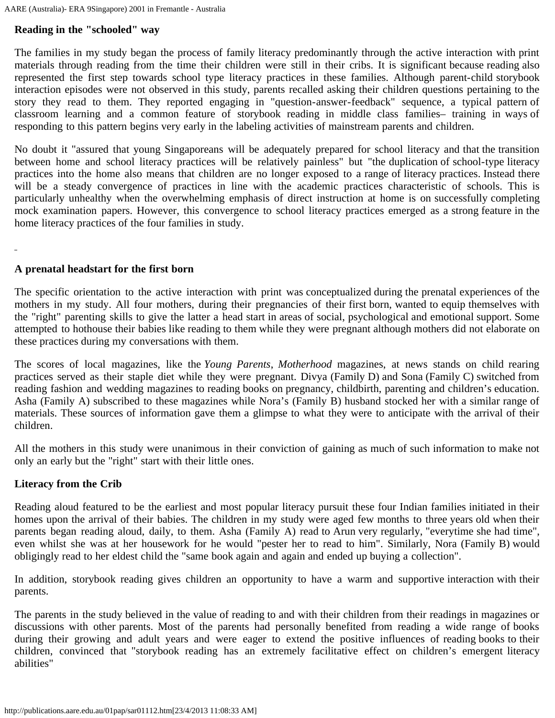# **Reading in the "schooled" way**

The families in my study began the process of family literacy predominantly through the active interaction with print materials through reading from the time their children were still in their cribs. It is significant because reading also represented the first step towards school type literacy practices in these families. Although parent-child storybook interaction episodes were not observed in this study, parents recalled asking their children questions pertaining to the story they read to them. They reported engaging in "question-answer-feedback" sequence, a typical pattern of classroom learning and a common feature of storybook reading in middle class families– training in ways of responding to this pattern begins very early in the labeling activities of mainstream parents and children.

No doubt it "assured that young Singaporeans will be adequately prepared for school literacy and that the transition between home and school literacy practices will be relatively painless" but "the duplication of school-type literacy practices into the home also means that children are no longer exposed to a range of literacy practices. Instead there will be a steady convergence of practices in line with the academic practices characteristic of schools. This is particularly unhealthy when the overwhelming emphasis of direct instruction at home is on successfully completing mock examination papers. However, this convergence to school literacy practices emerged as a strong feature in the home literacy practices of the four families in study.

### **A prenatal headstart for the first born**

The specific orientation to the active interaction with print was conceptualized during the prenatal experiences of the mothers in my study. All four mothers, during their pregnancies of their first born, wanted to equip themselves with the "right" parenting skills to give the latter a head start in areas of social, psychological and emotional support. Some attempted to hothouse their babies like reading to them while they were pregnant although mothers did not elaborate on these practices during my conversations with them.

The scores of local magazines, like the *Young Parents*, *Motherhood* magazines, at news stands on child rearing practices served as their staple diet while they were pregnant. Divya (Family D) and Sona (Family C) switched from reading fashion and wedding magazines to reading books on pregnancy, childbirth, parenting and children's education. Asha (Family A) subscribed to these magazines while Nora's (Family B) husband stocked her with a similar range of materials. These sources of information gave them a glimpse to what they were to anticipate with the arrival of their children.

All the mothers in this study were unanimous in their conviction of gaining as much of such information to make not only an early but the "right" start with their little ones.

#### **Literacy from the Crib**

Reading aloud featured to be the earliest and most popular literacy pursuit these four Indian families initiated in their homes upon the arrival of their babies. The children in my study were aged few months to three years old when their parents began reading aloud, daily, to them. Asha (Family A) read to Arun very regularly, "everytime she had time", even whilst she was at her housework for he would "pester her to read to him". Similarly, Nora (Family B) would obligingly read to her eldest child the "same book again and again and ended up buying a collection".

In addition, storybook reading gives children an opportunity to have a warm and supportive interaction with their parents.

The parents in the study believed in the value of reading to and with their children from their readings in magazines or discussions with other parents. Most of the parents had personally benefited from reading a wide range of books during their growing and adult years and were eager to extend the positive influences of reading books to their children, convinced that "storybook reading has an extremely facilitative effect on children's emergent literacy abilities"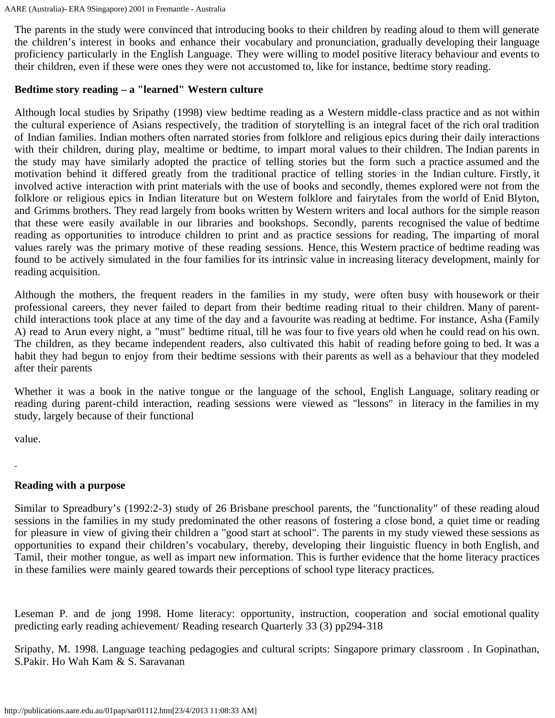The parents in the study were convinced that introducing books to their children by reading aloud to them will generate the children's interest in books and enhance their vocabulary and pronunciation, gradually developing their language proficiency particularly in the English Language. They were willing to model positive literacy behaviour and events to their children, even if these were ones they were not accustomed to, like for instance, bedtime story reading.

#### **Bedtime story reading – a "learned" Western culture**

Although local studies by Sripathy (1998) view bedtime reading as a Western middle-class practice and as not within the cultural experience of Asians respectively, the tradition of storytelling is an integral facet of the rich oral tradition of Indian families. Indian mothers often narrated stories from folklore and religious epics during their daily interactions with their children, during play, mealtime or bedtime, to impart moral values to their children. The Indian parents in the study may have similarly adopted the practice of telling stories but the form such a practice assumed and the motivation behind it differed greatly from the traditional practice of telling stories in the Indian culture. Firstly, it involved active interaction with print materials with the use of books and secondly, themes explored were not from the folklore or religious epics in Indian literature but on Western folklore and fairytales from the world of Enid Blyton, and Grimms brothers. They read largely from books written by Western writers and local authors for the simple reason that these were easily available in our libraries and bookshops. Secondly, parents recognised the value of bedtime reading as opportunities to introduce children to print and as practice sessions for reading, The imparting of moral values rarely was the primary motive of these reading sessions. Hence, this Western practice of bedtime reading was found to be actively simulated in the four families for its intrinsic value in increasing literacy development, mainly for reading acquisition.

Although the mothers, the frequent readers in the families in my study, were often busy with housework or their professional careers, they never failed to depart from their bedtime reading ritual to their children. Many of parentchild interactions took place at any time of the day and a favourite was reading at bedtime. For instance, Asha (Family A) read to Arun every night, a "must" bedtime ritual, till he was four to five years old when he could read on his own. The children, as they became independent readers, also cultivated this habit of reading before going to bed. It was a habit they had begun to enjoy from their bedtime sessions with their parents as well as a behaviour that they modeled after their parents

Whether it was a book in the native tongue or the language of the school, English Language, solitary reading or reading during parent-child interaction, reading sessions were viewed as "lessons" in literacy in the families in my study, largely because of their functional

value.

### **Reading with a purpose**

Similar to Spreadbury's (1992:2-3) study of 26 Brisbane preschool parents, the "functionality" of these reading aloud sessions in the families in my study predominated the other reasons of fostering a close bond, a quiet time or reading for pleasure in view of giving their children a "good start at school". The parents in my study viewed these sessions as opportunities to expand their children's vocabulary, thereby, developing their linguistic fluency in both English, and Tamil, their mother tongue, as well as impart new information. This is further evidence that the home literacy practices in these families were mainly geared towards their perceptions of school type literacy practices.

Leseman P. and de jong 1998. Home literacy: opportunity, instruction, cooperation and social emotional quality predicting early reading achievement/ Reading research Quarterly 33 (3) pp294-318

Sripathy, M. 1998. Language teaching pedagogies and cultural scripts: Singapore primary classroom . In Gopinathan, S.Pakir. Ho Wah Kam & S. Saravanan